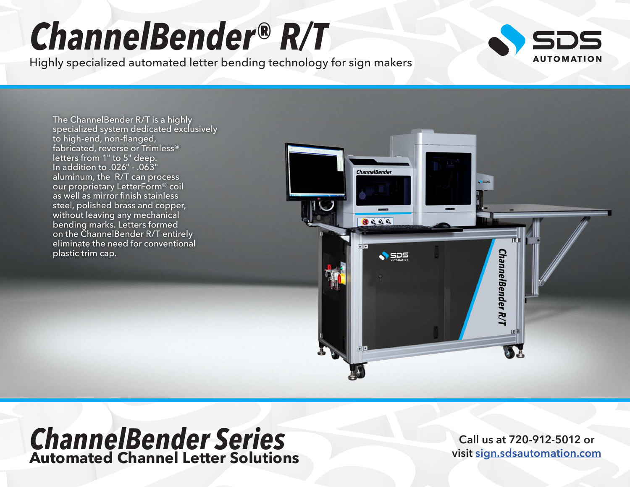## *ChannelBender® R/T*

Highly specialized automated letter bending technology for sign makers



The ChannelBender R/T is a highly specialized system dedicated exclusively to high-end, non-flanged, fabricated, reverse or Trimless® letters from 1" to 5" deep. In addition to .026" - .063" aluminum, the R/T can process our proprietary LetterForm® coil as well as mirror finish stainless steel, polished brass and copper, without leaving any mechanical bending marks. Letters formed on the ChannelBender R/T entirely eliminate the need for conventional plastic trim cap.



## *ChannelBender Series* **Automated Channel Letter Solutions**

**Call us at 720-912-5012 or visit [sign.sdsautomation.com](https://sign.sdsautomation.com/?utm_source=PDF+Spec+Sheets&utm_medium=PDF&utm_campaign=Literature)**